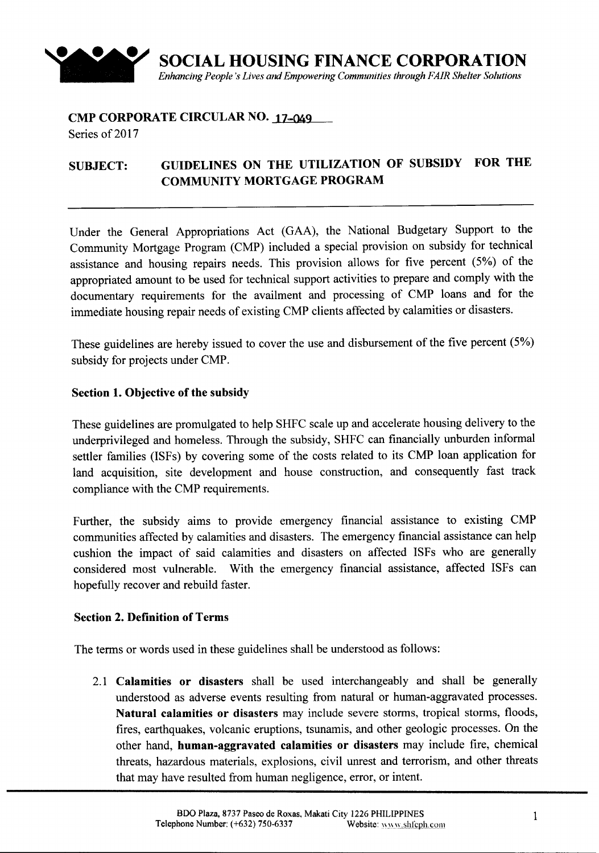

# **CMP CORPORATE CIRCULAR NO. 17-049**

Series of 2017

## **SUBJECT: GUIDELINES ON THE UTILIZATION OF SUBSIDY FOR THE COMMUNITY MORTGAGE PROGRAM**

Under the General Appropriations Act (GAA), the National Budgetary Support to the Community Mortgage Program (CMP) included a special provision on subsidy for technical assistance and housing repairs needs. This provision allows for five percent (5%) of the appropriated amount to be used for technical support activities to prepare and comply with the documentary requirements for the availment and processing of CMP loans and for the immediate housing repair needs of existing CMP clients affected by calamities or disasters.

These guidelines are hereby issued to cover the use and disbursement of the five percent (5%) subsidy for projects under CMP.

### **Section 1. Objective of the subsidy**

These guidelines are promulgated to help SHFC scale up and accelerate housing delivery to the underprivileged and homeless. Through the subsidy, SHFC can financially unburden informal settler families (ISFs) by covering some of the costs related to its CMP loan application for land acquisition, site development and house construction, and consequently fast track compliance with the CMP requirements.

Further, the subsidy aims to provide emergency financial assistance to existing CMP communities affected by calamities and disasters. The emergency financial assistance can help cushion the impact of said calamities and disasters on affected ISFs who are generally considered most vulnerable. With the emergency financial assistance, affected ISFs can hopefully recover and rebuild faster.

### **Section 2. Definition** of Terms

The terms or words used in these guidelines shall be understood as follows:

2.1 **Calamities or disasters** shall be used interchangeably and shall be generally understood as adverse events resulting from natural or human-aggravated processes. **Natural calamities or disasters** may include severe storms, tropical storms, floods, fires, earthquakes, volcanic eruptions, tsunamis, and other geologic processes. On the other hand, **human-aggravated calamities or disasters** may include fire, chemical threats, hazardous materials, explosions, civil unrest and terrorism, and other threats that may have resulted from human negligence, error, or intent.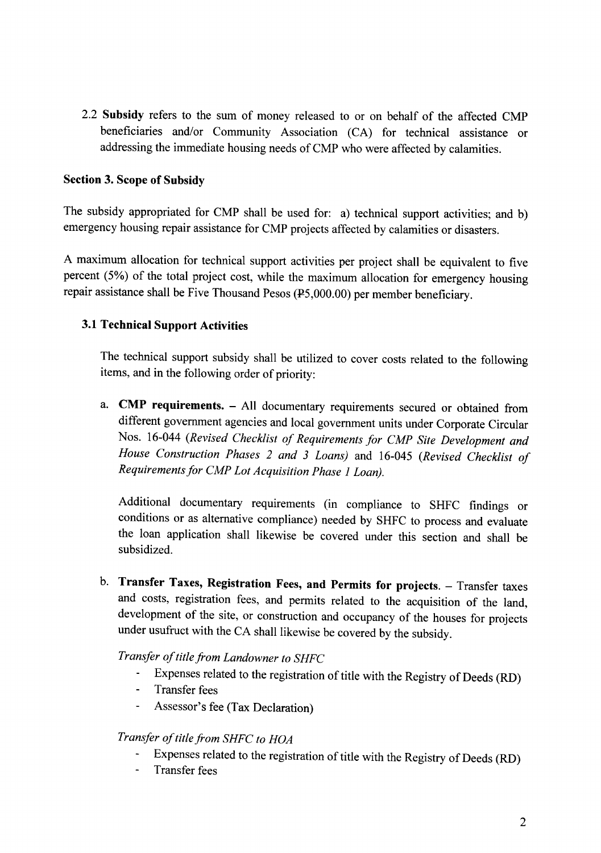2.2 **Subsidy** refers to the sum of money released to or on behalf of the affected CMP beneficiaries and/or Community Association (CA) for technical assistance or addressing the immediate housing needs of CMP who were affected by calamities.

### **Section 3. Scope of Subsidy**

The subsidy appropriated for CMP shall be used for: a) technical support activities; and b) emergency housing repair assistance for CMP projects affected by calamities or disasters.

A maximum allocation for technical support activities per project shall be equivalent to five percent (5%) of the total project cost, while the maximum allocation for emergency housing repair assistance shall be Five Thousand Pesos (P5,000.00) per member beneficiary.

### **3.1 Technical Support Activities**

The technical support subsidy shall be utilized to cover costs related to the following items, and in the following order of priority:

a. **CMP requirements. -** All documentary requirements secured or obtained from different government agencies and local government units under Corporate Circular Nos. 16-044 *(Revised Checklist of Requirementsfor CMP Site Development and House Construction Phases* 2 *and* 3 *Loans)* and 16-045 *(Revised Checklist of Requirementsfor CMP Lot Acquisition Phase* 1*Loan).*

Additional documentary requirements (in compliance to SHFC findings or conditions or as alternative compliance) needed by SHFC to process and evaluate the loan application shall likewise be covered under this section and shall be subsidized.

b. **Transfer Taxes, Registration Fees, and Permits for projects. -** Transfer taxes and costs, registration fees, and permits related to the acquisition of the land, development of the site, or construction and occupancy of the houses for projects under usufruct with the CA shall likewise be covered by the subsidy.

*Transfer of titlefrom Landowner to SHFC*

- Expenses related to the registration of title with the Registry of Deeds (RD)
- $\Box$ Transfer fees
- Assessor's fee (Tax Declaration)

### *Transfer of titlefrom SHFC to HOA*

- Expenses related to the registration of title with the Registry of Deeds (RD)
- Transfer fees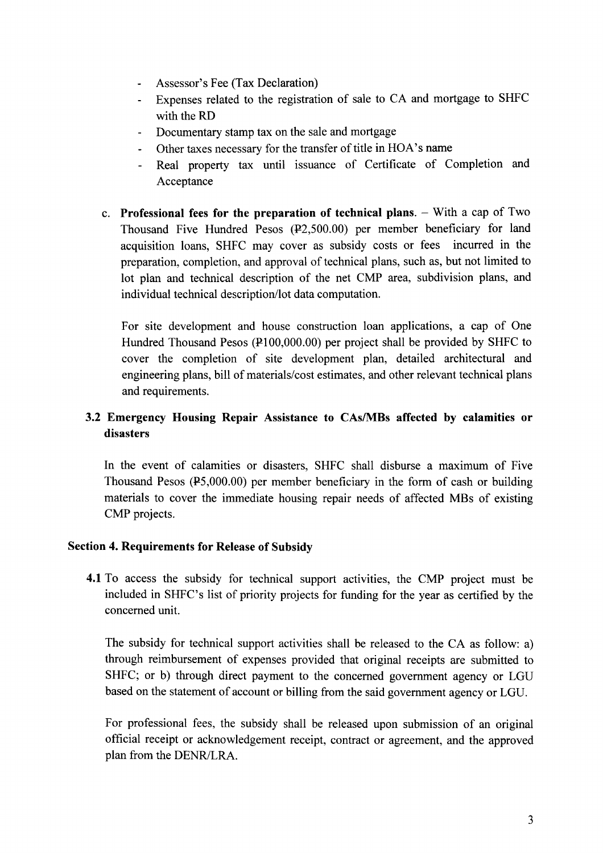- Assessor's Fee (Tax Declaration)
- Expenses related to the registration of sale to CA and mortgage to SHFC with the RD
- Documentary stamp tax on the sale and mortgage  $\mathbf{r}$
- Other taxes necessary for the transfer of title in HOA's name
- Real property tax until issuance of Certificate of Completion and  $\mathbf{L}^{\text{max}}$ Acceptance
- c. Professional fees for the preparation of technical plans. With a cap of Two Thousand Five Hundred Pesos (P2,SOO.00) per member beneficiary for land acquisition loans, SHFC may cover as subsidy costs or fees incurred in the preparation, completion, and approval of technical plans, such as, but not limited to lot plan and technical description of the net CMP area, subdivision plans, and individual technical description/lot data computation.

For site development and house construction loan applications, a cap of One Hundred Thousand Pesos (P100,000.00) per project shall be provided by SHFC to cover the completion of site development plan, detailed architectural and engineering plans, bill of materials/cost estimates, and other relevant technical plans and requirements.

### 3.2 Emergency Housing Repair Assistance to CAslMBs affected by calamities or disasters

In the event of calamities or disasters, SHFC shall disburse a maximum of Five Thousand Pesos (PS,OOO.OO) per member beneficiary in the form of cash or building materials to cover the immediate housing repair needs of affected MBs of existing CMP projects.

### Section 4. Requirements for Release of Subsidy

4.1 To access the subsidy for technical support activities, the CMP project must be included in SHFC's list of priority projects for funding for the year as certified by the concerned unit.

The subsidy for technical support activities shall be released to the CA as follow: a) through reimbursement of expenses provided that original receipts are submitted to SHFC; or b) through direct payment to the concerned government agency or LGU based on the statement of account or billing from the said government agency or LGU.

For professional fees, the subsidy shall be released upon submission of an original official receipt or acknowledgement receipt, contract or agreement, and the approved plan from the DENR/LRA.